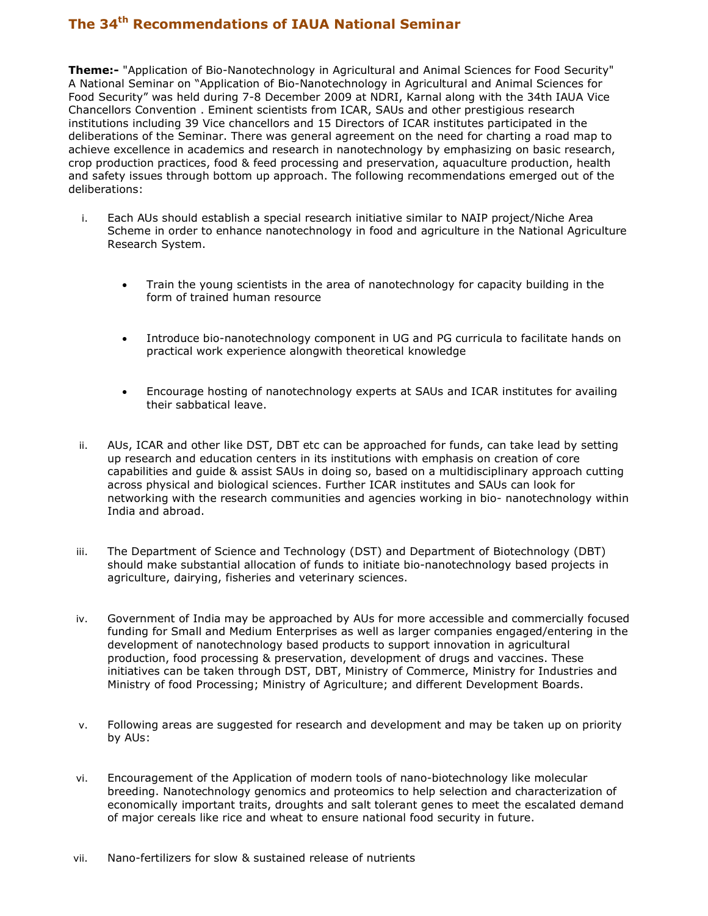## The 34<sup>th</sup> Recommendations of IAUA National Seminar

Theme:- "Application of Bio-Nanotechnology in Agricultural and Animal Sciences for Food Security" A National Seminar on "Application of Bio-Nanotechnology in Agricultural and Animal Sciences for Food Security" was held during 7-8 December 2009 at NDRI, Karnal along with the 34th IAUA Vice Chancellors Convention . Eminent scientists from ICAR, SAUs and other prestigious research institutions including 39 Vice chancellors and 15 Directors of ICAR institutes participated in the deliberations of the Seminar. There was general agreement on the need for charting a road map to achieve excellence in academics and research in nanotechnology by emphasizing on basic research, crop production practices, food & feed processing and preservation, aquaculture production, health and safety issues through bottom up approach. The following recommendations emerged out of the deliberations:

- i. Each AUs should establish a special research initiative similar to NAIP project/Niche Area Scheme in order to enhance nanotechnology in food and agriculture in the National Agriculture Research System.
	- Train the young scientists in the area of nanotechnology for capacity building in the form of trained human resource
	- Introduce bio-nanotechnology component in UG and PG curricula to facilitate hands on practical work experience alongwith theoretical knowledge
	- Encourage hosting of nanotechnology experts at SAUs and ICAR institutes for availing their sabbatical leave.
- ii. AUs, ICAR and other like DST, DBT etc can be approached for funds, can take lead by setting up research and education centers in its institutions with emphasis on creation of core capabilities and guide & assist SAUs in doing so, based on a multidisciplinary approach cutting across physical and biological sciences. Further ICAR institutes and SAUs can look for networking with the research communities and agencies working in bio- nanotechnology within India and abroad.
- iii. The Department of Science and Technology (DST) and Department of Biotechnology (DBT) should make substantial allocation of funds to initiate bio-nanotechnology based projects in agriculture, dairying, fisheries and veterinary sciences.
- iv. Government of India may be approached by AUs for more accessible and commercially focused funding for Small and Medium Enterprises as well as larger companies engaged/entering in the development of nanotechnology based products to support innovation in agricultural production, food processing & preservation, development of drugs and vaccines. These initiatives can be taken through DST, DBT, Ministry of Commerce, Ministry for Industries and Ministry of food Processing; Ministry of Agriculture; and different Development Boards.
- v. Following areas are suggested for research and development and may be taken up on priority by AUs:
- vi. Encouragement of the Application of modern tools of nano-biotechnology like molecular breeding. Nanotechnology genomics and proteomics to help selection and characterization of economically important traits, droughts and salt tolerant genes to meet the escalated demand of major cereals like rice and wheat to ensure national food security in future.
- vii. Nano-fertilizers for slow & sustained release of nutrients